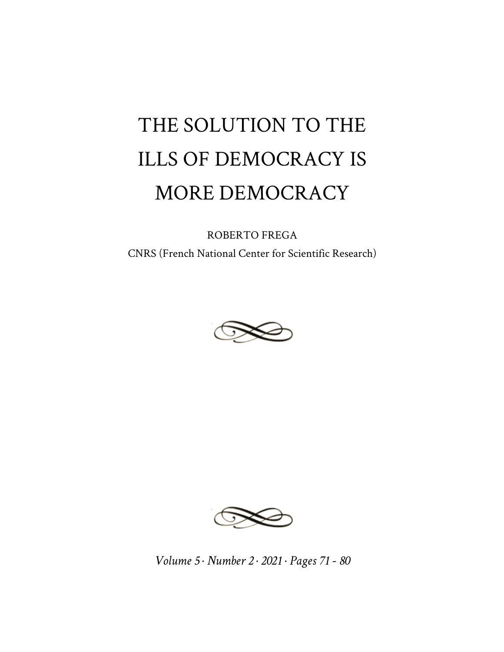## THE SOLUTION TO THE ILLS OF DEMOCRACY IS MORE DEMOCRACY

ROBERTO FREGA CNRS (French National Center for Scientific Research)





*Volume 5 · Number 2 · 2021 · Pages 71 - 80*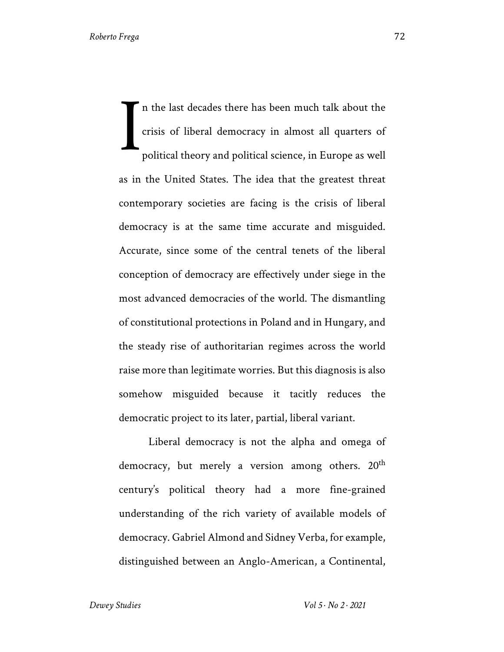In the last decades there has been much talk about the crisis of liberal democracy in almost all quarters of political theory and political science, in Europe as well as in the United States. The idea that the greatest threat contemporary societies are facing is the crisis of liberal democracy is at the same time accurate and misguided. Accurate, since some of the central tenets of the liberal conception of democracy are effectively under siege in the most advanced democracies of the world. The dismantling of constitutional protections in Poland and in Hungary, and the steady rise of authoritarian regimes across the world raise more than legitimate worries. But this diagnosis is also somehow misguided because it tacitly reduces the democratic project to its later, partial, liberal variant. I

Liberal democracy is not the alpha and omega of democracy, but merely a version among others.  $20<sup>th</sup>$ century's political theory had a more fine-grained understanding of the rich variety of available models of democracy. Gabriel Almond and Sidney Verba, for example, distinguished between an Anglo-American, a Continental,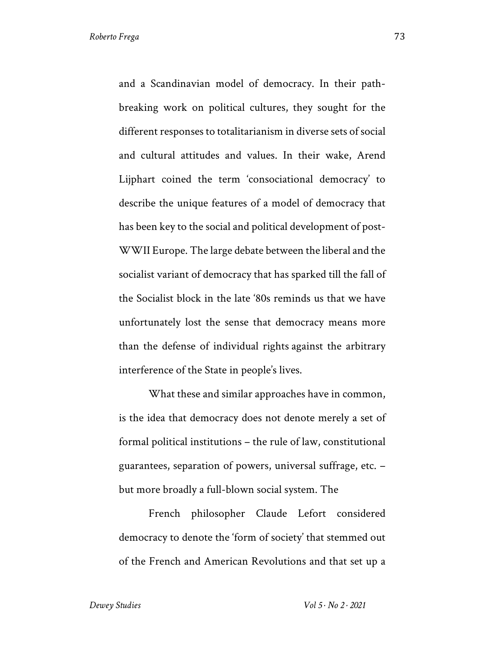and a Scandinavian model of democracy. In their pathbreaking work on political cultures, they sought for the different responses to totalitarianism in diverse sets of social and cultural attitudes and values. In their wake, Arend Lijphart coined the term 'consociational democracy' to describe the unique features of a model of democracy that has been key to the social and political development of post-WWII Europe. The large debate between the liberal and the socialist variant of democracy that has sparked till the fall of the Socialist block in the late '80s reminds us that we have unfortunately lost the sense that democracy means more than the defense of individual rights against the arbitrary interference of the State in people's lives.

What these and similar approaches have in common, is the idea that democracy does not denote merely a set of formal political institutions – the rule of law, constitutional guarantees, separation of powers, universal suffrage, etc. – but more broadly a full-blown social system. The

French philosopher Claude Lefort considered democracy to denote the 'form of society' that stemmed out of the French and American Revolutions and that set up a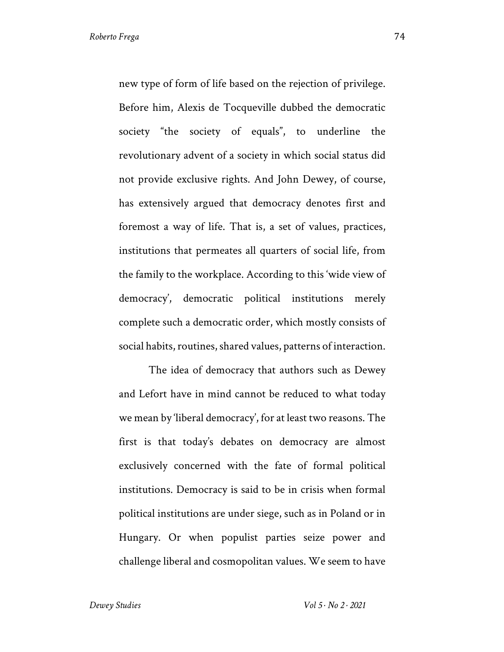new type of form of life based on the rejection of privilege. Before him, Alexis de Tocqueville dubbed the democratic society "the society of equals", to underline the revolutionary advent of a society in which social status did not provide exclusive rights. And John Dewey, of course, has extensively argued that democracy denotes first and foremost a way of life. That is, a set of values, practices, institutions that permeates all quarters of social life, from the family to the workplace. According to this 'wide view of democracy', democratic political institutions merely complete such a democratic order, which mostly consists of social habits, routines, shared values, patterns of interaction.

The idea of democracy that authors such as Dewey and Lefort have in mind cannot be reduced to what today we mean by 'liberal democracy', for at least two reasons. The first is that today's debates on democracy are almost exclusively concerned with the fate of formal political institutions. Democracy is said to be in crisis when formal political institutions are under siege, such as in Poland or in Hungary. Or when populist parties seize power and challenge liberal and cosmopolitan values. We seem to have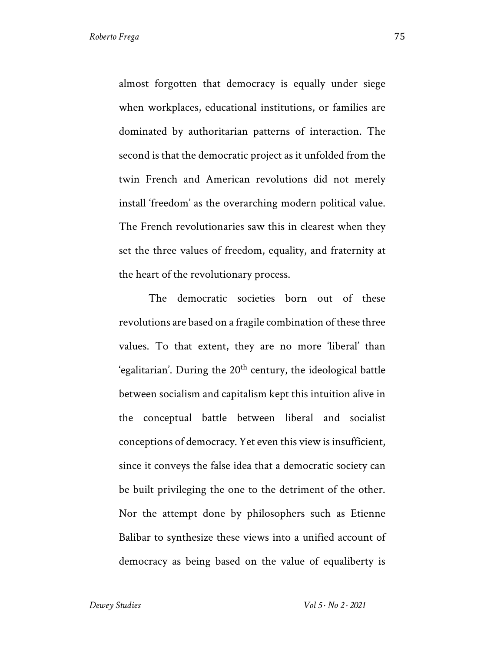almost forgotten that democracy is equally under siege when workplaces, educational institutions, or families are dominated by authoritarian patterns of interaction. The second is that the democratic project as it unfolded from the twin French and American revolutions did not merely install 'freedom' as the overarching modern political value. The French revolutionaries saw this in clearest when they set the three values of freedom, equality, and fraternity at the heart of the revolutionary process.

The democratic societies born out of these revolutions are based on a fragile combination of these three values. To that extent, they are no more 'liberal' than 'egalitarian'. During the  $20<sup>th</sup>$  century, the ideological battle between socialism and capitalism kept this intuition alive in the conceptual battle between liberal and socialist conceptions of democracy. Yet even this view is insufficient, since it conveys the false idea that a democratic society can be built privileging the one to the detriment of the other. Nor the attempt done by philosophers such as Etienne Balibar to synthesize these views into a unified account of democracy as being based on the value of equaliberty is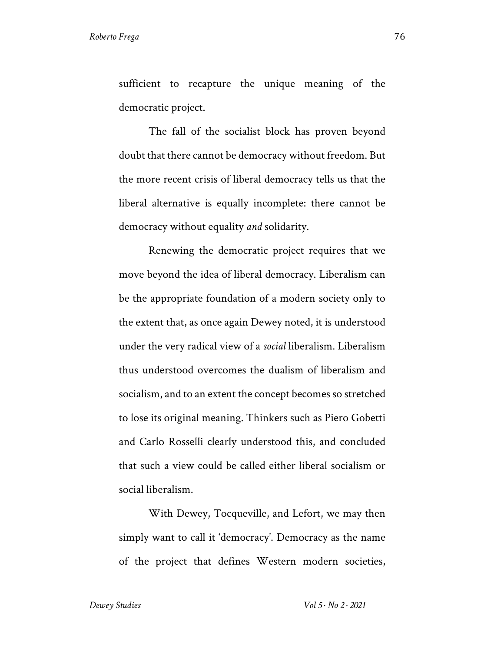sufficient to recapture the unique meaning of the democratic project.

The fall of the socialist block has proven beyond doubt that there cannot be democracy without freedom. But the more recent crisis of liberal democracy tells us that the liberal alternative is equally incomplete: there cannot be democracy without equality *and* solidarity.

Renewing the democratic project requires that we move beyond the idea of liberal democracy. Liberalism can be the appropriate foundation of a modern society only to the extent that, as once again Dewey noted, it is understood under the very radical view of a *social* liberalism. Liberalism thus understood overcomes the dualism of liberalism and socialism, and to an extent the concept becomes so stretched to lose its original meaning. Thinkers such as Piero Gobetti and Carlo Rosselli clearly understood this, and concluded that such a view could be called either liberal socialism or social liberalism.

With Dewey, Tocqueville, and Lefort, we may then simply want to call it 'democracy'. Democracy as the name of the project that defines Western modern societies,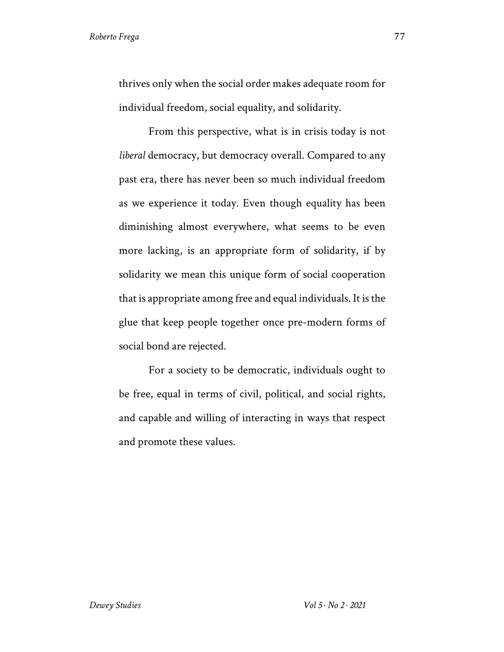thrives only when the social order makes adequate room for individual freedom, social equality, and solidarity.

From this perspective, what is in crisis today is not *liberal* democracy, but democracy overall. Compared to any past era, there has never been so much individual freedom as we experience it today. Even though equality has been diminishing almost everywhere, what seems to be even more lacking, is an appropriate form of solidarity, if by solidarity we mean this unique form of social cooperation that is appropriate among free and equal individuals. It is the glue that keep people together once pre-modern forms of social bond are rejected.

For a society to be democratic, individuals ought to be free, equal in terms of civil, political, and social rights, and capable and willing of interacting in ways that respect and promote these values.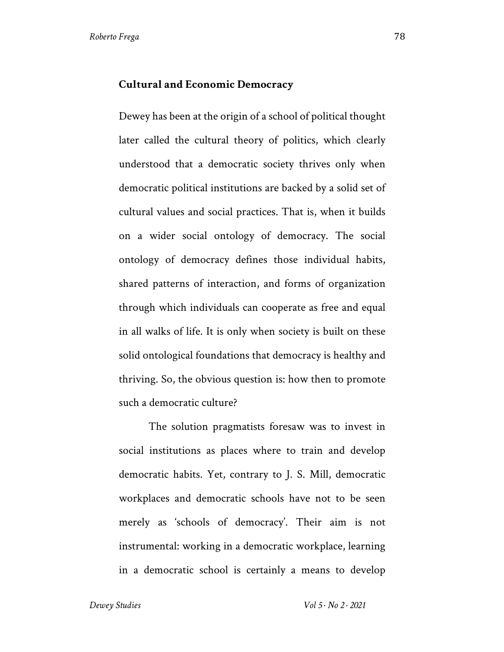## **Cultural and Economic Democracy**

Dewey has been at the origin of a school of political thought later called the cultural theory of politics, which clearly understood that a democratic society thrives only when democratic political institutions are backed by a solid set of cultural values and social practices. That is, when it builds on a wider social ontology of democracy. The social ontology of democracy defines those individual habits, shared patterns of interaction, and forms of organization through which individuals can cooperate as free and equal in all walks of life. It is only when society is built on these solid ontological foundations that democracy is healthy and thriving. So, the obvious question is: how then to promote such a democratic culture?

The solution pragmatists foresaw was to invest in social institutions as places where to train and develop democratic habits. Yet, contrary to J. S. Mill, democratic workplaces and democratic schools have not to be seen merely as 'schools of democracy'. Their aim is not instrumental: working in a democratic workplace, learning in a democratic school is certainly a means to develop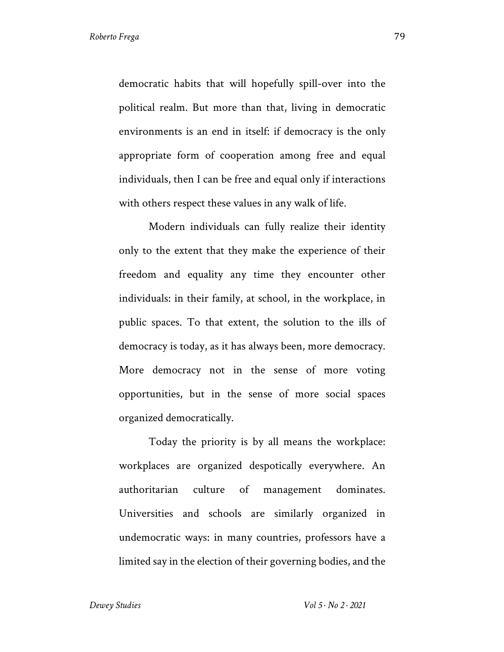democratic habits that will hopefully spill-over into the political realm. But more than that, living in democratic environments is an end in itself: if democracy is the only appropriate form of cooperation among free and equal individuals, then I can be free and equal only if interactions with others respect these values in any walk of life.

Modern individuals can fully realize their identity only to the extent that they make the experience of their freedom and equality any time they encounter other individuals: in their family, at school, in the workplace, in public spaces. To that extent, the solution to the ills of democracy is today, as it has always been, more democracy. More democracy not in the sense of more voting opportunities, but in the sense of more social spaces organized democratically.

Today the priority is by all means the workplace: workplaces are organized despotically everywhere. An authoritarian culture of management dominates. Universities and schools are similarly organized in undemocratic ways: in many countries, professors have a limited say in the election of their governing bodies, and the